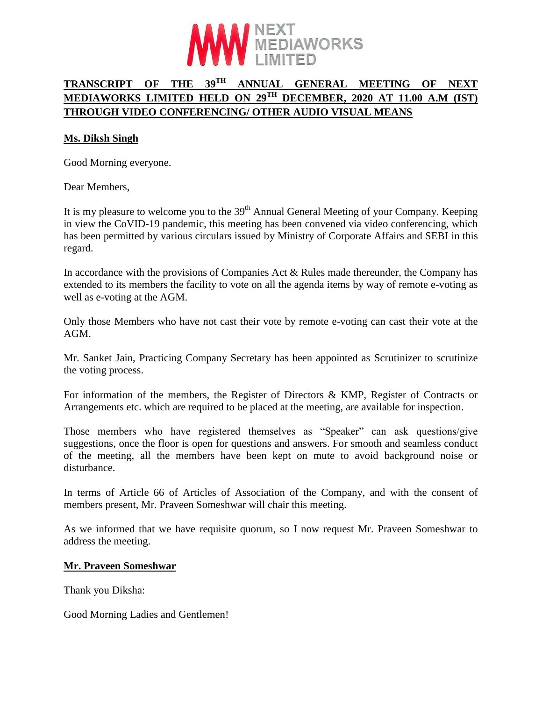

# **TRANSCRIPT OF THE 39TH ANNUAL GENERAL MEETING OF NEXT MEDIAWORKS LIMITED HELD ON 29TH DECEMBER, 2020 AT 11.00 A.M (IST) THROUGH VIDEO CONFERENCING/ OTHER AUDIO VISUAL MEANS**

#### **Ms. Diksh Singh**

Good Morning everyone.

Dear Members,

It is my pleasure to welcome you to the  $39<sup>th</sup>$  Annual General Meeting of your Company. Keeping in view the CoVID-19 pandemic, this meeting has been convened via video conferencing, which has been permitted by various circulars issued by Ministry of Corporate Affairs and SEBI in this regard.

In accordance with the provisions of Companies Act  $& Rules$  made thereunder, the Company has extended to its members the facility to vote on all the agenda items by way of remote e-voting as well as e-voting at the AGM.

Only those Members who have not cast their vote by remote e-voting can cast their vote at the AGM.

Mr. Sanket Jain, Practicing Company Secretary has been appointed as Scrutinizer to scrutinize the voting process.

For information of the members, the Register of Directors & KMP, Register of Contracts or Arrangements etc. which are required to be placed at the meeting, are available for inspection.

Those members who have registered themselves as "Speaker" can ask questions/give suggestions, once the floor is open for questions and answers. For smooth and seamless conduct of the meeting, all the members have been kept on mute to avoid background noise or disturbance.

In terms of Article 66 of Articles of Association of the Company, and with the consent of members present, Mr. Praveen Someshwar will chair this meeting.

As we informed that we have requisite quorum, so I now request Mr. Praveen Someshwar to address the meeting.

#### **Mr. Praveen Someshwar**

Thank you Diksha:

Good Morning Ladies and Gentlemen!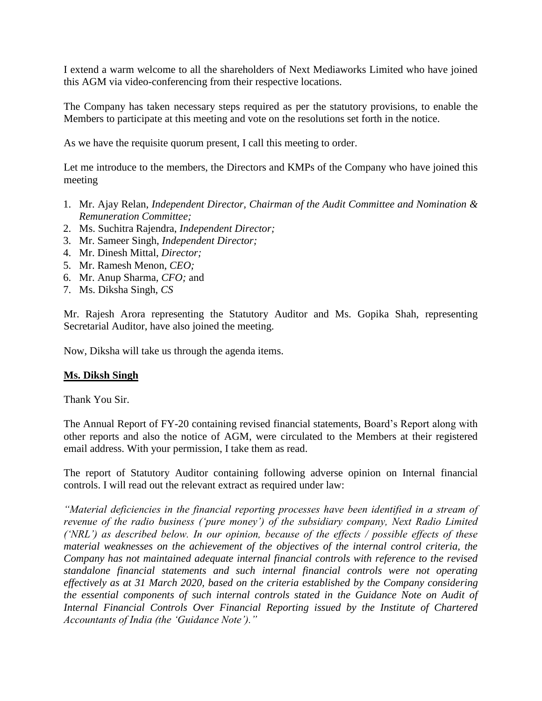I extend a warm welcome to all the shareholders of Next Mediaworks Limited who have joined this AGM via video-conferencing from their respective locations.

The Company has taken necessary steps required as per the statutory provisions, to enable the Members to participate at this meeting and vote on the resolutions set forth in the notice.

As we have the requisite quorum present, I call this meeting to order.

Let me introduce to the members, the Directors and KMPs of the Company who have joined this meeting

- 1. Mr. Ajay Relan, *Independent Director, Chairman of the Audit Committee and Nomination & Remuneration Committee;*
- 2. Ms. Suchitra Rajendra, *Independent Director;*
- 3. Mr. Sameer Singh, *Independent Director;*
- 4. Mr. Dinesh Mittal, *Director;*
- 5. Mr. Ramesh Menon, *CEO;*
- 6. Mr. Anup Sharma, *CFO;* and
- 7. Ms. Diksha Singh, *CS*

Mr. Rajesh Arora representing the Statutory Auditor and Ms. Gopika Shah, representing Secretarial Auditor, have also joined the meeting.

Now, Diksha will take us through the agenda items.

#### **Ms. Diksh Singh**

Thank You Sir.

The Annual Report of FY-20 containing revised financial statements, Board's Report along with other reports and also the notice of AGM, were circulated to the Members at their registered email address. With your permission, I take them as read.

The report of Statutory Auditor containing following adverse opinion on Internal financial controls. I will read out the relevant extract as required under law:

*"Material deficiencies in the financial reporting processes have been identified in a stream of revenue of the radio business ('pure money') of the subsidiary company, Next Radio Limited ('NRL') as described below. In our opinion, because of the effects / possible effects of these material weaknesses on the achievement of the objectives of the internal control criteria, the Company has not maintained adequate internal financial controls with reference to the revised standalone financial statements and such internal financial controls were not operating effectively as at 31 March 2020, based on the criteria established by the Company considering the essential components of such internal controls stated in the Guidance Note on Audit of Internal Financial Controls Over Financial Reporting issued by the Institute of Chartered Accountants of India (the 'Guidance Note')."*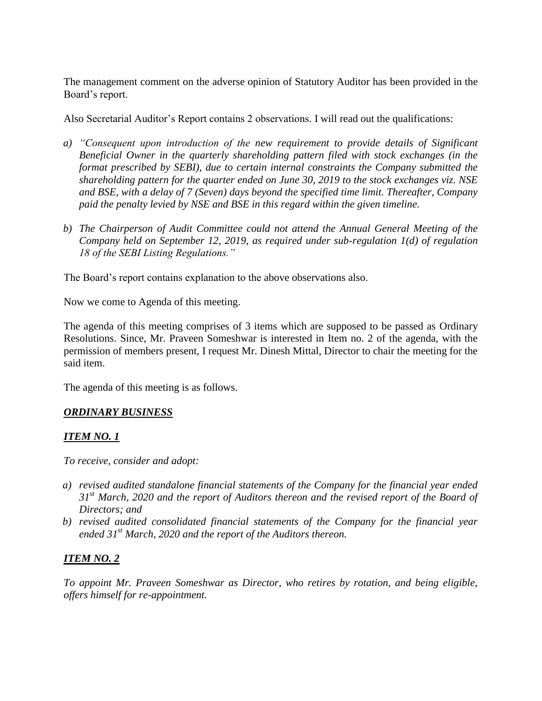The management comment on the adverse opinion of Statutory Auditor has been provided in the Board's report.

Also Secretarial Auditor's Report contains 2 observations. I will read out the qualifications:

- *a) "Consequent upon introduction of the new requirement to provide details of Significant Beneficial Owner in the quarterly shareholding pattern filed with stock exchanges (in the format prescribed by SEBI), due to certain internal constraints the Company submitted the shareholding pattern for the quarter ended on June 30, 2019 to the stock exchanges viz. NSE and BSE, with a delay of 7 (Seven) days beyond the specified time limit. Thereafter, Company paid the penalty levied by NSE and BSE in this regard within the given timeline.*
- *b) The Chairperson of Audit Committee could not attend the Annual General Meeting of the Company held on September 12, 2019, as required under sub-regulation 1(d) of regulation 18 of the SEBI Listing Regulations."*

The Board's report contains explanation to the above observations also.

Now we come to Agenda of this meeting.

The agenda of this meeting comprises of 3 items which are supposed to be passed as Ordinary Resolutions. Since, Mr. Praveen Someshwar is interested in Item no. 2 of the agenda, with the permission of members present, I request Mr. Dinesh Mittal, Director to chair the meeting for the said item.

The agenda of this meeting is as follows.

### *ORDINARY BUSINESS*

### *ITEM NO. 1*

*To receive, consider and adopt:*

- *a) revised audited standalone financial statements of the Company for the financial year ended 31st March, 2020 and the report of Auditors thereon and the revised report of the Board of Directors; and*
- *b) revised audited consolidated financial statements of the Company for the financial year ended 31st March, 2020 and the report of the Auditors thereon.*

### *ITEM NO. 2*

*To appoint Mr. Praveen Someshwar as Director, who retires by rotation, and being eligible, offers himself for re-appointment.*